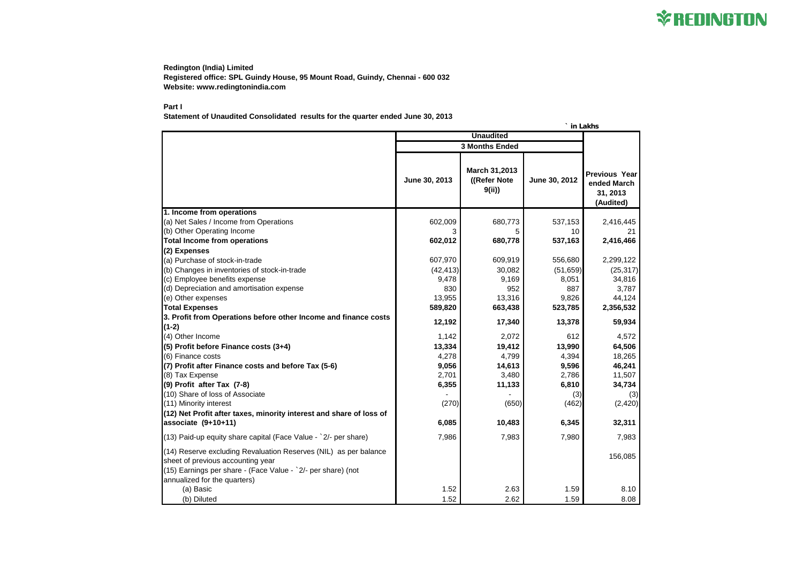**Redington (India) Limited Registered office: SPL Guindy House, 95 Mount Road, Guindy, Chennai - 600 032 Website: www.redingtonindia.com**

## **Part I**

**Statement of Unaudited Consolidated results for the quarter ended June 30, 2013**

|                                                                                                                                                                                                       | <b>Unaudited</b>      |                                         |               |                                                              |
|-------------------------------------------------------------------------------------------------------------------------------------------------------------------------------------------------------|-----------------------|-----------------------------------------|---------------|--------------------------------------------------------------|
|                                                                                                                                                                                                       | <b>3 Months Ended</b> |                                         |               |                                                              |
|                                                                                                                                                                                                       | June 30, 2013         | March 31,2013<br>((Refer Note)<br>9(ii) | June 30, 2012 | <b>Previous Year</b><br>ended March<br>31, 2013<br>(Audited) |
| 1. Income from operations                                                                                                                                                                             |                       |                                         |               |                                                              |
| (a) Net Sales / Income from Operations                                                                                                                                                                | 602,009               | 680,773                                 | 537,153       | 2,416,445                                                    |
| (b) Other Operating Income                                                                                                                                                                            |                       |                                         | 10            | 21                                                           |
| <b>Total Income from operations</b>                                                                                                                                                                   | 602,012               | 680,778                                 | 537,163       | 2,416,466                                                    |
| (2) Expenses                                                                                                                                                                                          |                       |                                         |               |                                                              |
| (a) Purchase of stock-in-trade                                                                                                                                                                        | 607,970               | 609,919                                 | 556,680       | 2,299,122                                                    |
| (b) Changes in inventories of stock-in-trade                                                                                                                                                          | (42, 413)             | 30,082                                  | (51, 659)     | (25, 317)                                                    |
| (c) Employee benefits expense                                                                                                                                                                         | 9,478                 | 9,169                                   | 8,051         | 34,816                                                       |
| (d) Depreciation and amortisation expense                                                                                                                                                             | 830                   | 952                                     | 887           | 3,787                                                        |
| (e) Other expenses                                                                                                                                                                                    | 13,955                | 13,316                                  | 9,826         | 44,124                                                       |
| <b>Total Expenses</b>                                                                                                                                                                                 | 589,820               | 663,438                                 | 523,785       | 2,356,532                                                    |
| 3. Profit from Operations before other Income and finance costs                                                                                                                                       | 12,192                | 17,340                                  | 13,378        | 59,934                                                       |
| $(1-2)$                                                                                                                                                                                               |                       |                                         |               |                                                              |
| (4) Other Income                                                                                                                                                                                      | 1,142                 | 2,072                                   | 612           | 4,572                                                        |
| (5) Profit before Finance costs (3+4)                                                                                                                                                                 | 13,334                | 19,412                                  | 13,990        | 64,506                                                       |
| (6) Finance costs                                                                                                                                                                                     | 4,278                 | 4,799                                   | 4,394         | 18,265                                                       |
| (7) Profit after Finance costs and before Tax (5-6)                                                                                                                                                   | 9,056                 | 14,613                                  | 9,596         | 46,241                                                       |
| (8) Tax Expense                                                                                                                                                                                       | 2,701                 | 3,480                                   | 2,786         | 11,507                                                       |
| (9) Profit after Tax (7-8)                                                                                                                                                                            | 6,355                 | 11,133                                  | 6,810         | 34,734                                                       |
| (10) Share of loss of Associate                                                                                                                                                                       |                       |                                         | (3)           | (3)                                                          |
| (11) Minority interest                                                                                                                                                                                | (270)                 | (650)                                   | (462)         | (2,420)                                                      |
| (12) Net Profit after taxes, minority interest and share of loss of                                                                                                                                   |                       |                                         |               |                                                              |
| associate $(9+10+11)$                                                                                                                                                                                 | 6,085                 | 10,483                                  | 6,345         | 32,311                                                       |
| (13) Paid-up equity share capital (Face Value - `2/- per share)                                                                                                                                       | 7,986                 | 7,983                                   | 7,980         | 7,983                                                        |
| (14) Reserve excluding Revaluation Reserves (NIL) as per balance<br>sheet of previous accounting year<br>(15) Earnings per share - (Face Value - `2/- per share) (not<br>annualized for the quarters) |                       |                                         |               | 156,085                                                      |
| (a) Basic                                                                                                                                                                                             | 1.52                  | 2.63                                    | 1.59          | 8.10                                                         |
| (b) Diluted                                                                                                                                                                                           | 1.52                  | 2.62                                    | 1.59          | 8.08                                                         |



|  | in Lakhs |
|--|----------|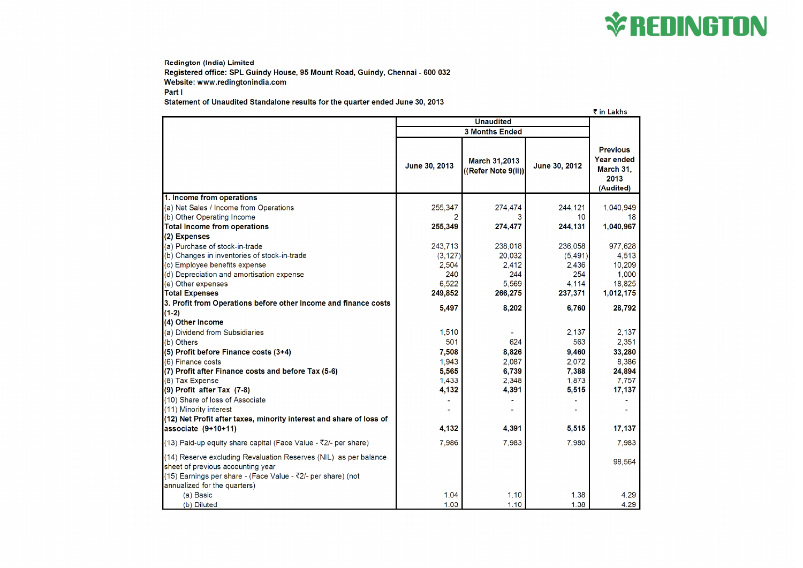**Redington (India) Limited** Registered office: SPL Guindy House, 95 Mount Road, Guindy, Chennai - 600 032 Website: www.redingtonindia.com Part I

Statement of Unaudited Standalone results for the quarter ended June 30, 2013

|                                                                              |                       |                                             |               | ₹ in I                   |
|------------------------------------------------------------------------------|-----------------------|---------------------------------------------|---------------|--------------------------|
|                                                                              | <b>Unaudited</b>      |                                             |               |                          |
|                                                                              | <b>3 Months Ended</b> |                                             |               |                          |
|                                                                              | June 30, 2013         | <b>March 31,2013</b><br>((Refer Note 9(ii)) | June 30, 2012 | Pre<br>Year<br>Ma<br>(Au |
| 1. Income from operations                                                    |                       |                                             |               |                          |
| (a) Net Sales / Income from Operations                                       | 255,347               | 274,474                                     | 244,121       | 1,                       |
| (b) Other Operating Income                                                   |                       |                                             | 10            |                          |
| <b>Total Income from operations</b>                                          | 255,349               | 274,477                                     | 244,131       | 1,                       |
| (2) Expenses                                                                 |                       |                                             |               |                          |
| (a) Purchase of stock-in-trade                                               | 243,713               | 238,018                                     | 236,058       |                          |
| (b) Changes in inventories of stock-in-trade                                 | (3, 127)              | 20,032                                      | (5, 491)      |                          |
| (c) Employee benefits expense                                                | 2,504                 | 2,412                                       | 2,436         |                          |
| (d) Depreciation and amortisation expense                                    | 240                   | 244                                         | 254           |                          |
| (e) Other expenses                                                           | 6,522                 | 5,569                                       | 4,114         |                          |
| <b>Total Expenses</b>                                                        | 249,852               | 266,275                                     | 237,371       | 1,                       |
| 3. Profit from Operations before other Income and finance costs              | 5,497                 | 8,202                                       | 6,760         |                          |
| $(1-2)$                                                                      |                       |                                             |               |                          |
| (4) Other Income                                                             |                       |                                             |               |                          |
| (a) Dividend from Subsidiaries                                               | 1,510                 |                                             | 2,137         |                          |
| (b) Others                                                                   | 501                   | 624                                         | 563           |                          |
| $(5)$ Profit before Finance costs $(3+4)$                                    | 7,508                 | 8,826                                       | 9,460         |                          |
| (6) Finance costs                                                            | 1,943                 | 2,087                                       | 2,072         |                          |
| (7) Profit after Finance costs and before Tax (5-6)                          | 5,565                 | 6,739                                       | 7,388         |                          |
| (8) Tax Expense                                                              | 1,433                 | 2,348                                       | 1,873         |                          |
| $(9)$ Profit after Tax $(7-8)$                                               | 4,132                 | 4,391                                       | 5,515         |                          |
| (10) Share of loss of Associate                                              |                       |                                             |               |                          |
| (11) Minority interest                                                       |                       |                                             |               |                          |
| (12) Net Profit after taxes, minority interest and share of loss of          |                       |                                             |               |                          |
| $l$ associate (9+10+11)                                                      | 4,132                 | 4,391                                       | 5,515         |                          |
| (13) Paid-up equity share capital (Face Value - $\overline{5}2/-$ per share) | 7,986                 | 7,983                                       | 7,980         |                          |
| (14) Reserve excluding Revaluation Reserves (NIL) as per balance             |                       |                                             |               |                          |
| sheet of previous accounting year                                            |                       |                                             |               |                          |
| (15) Earnings per share - (Face Value - ₹2/- per share) (not                 |                       |                                             |               |                          |
| annualized for the quarters)                                                 |                       |                                             |               |                          |
| (a) Basic                                                                    | 1.04                  | 1.10                                        | 1.38          |                          |
| (b) Diluted                                                                  | 1.03                  | 1.10                                        | 1.38          |                          |



| in Lakhs                                                             |  |
|----------------------------------------------------------------------|--|
| Previous<br>ear ended<br><b>Aarch 31,</b><br>2013<br>Audited)        |  |
| 1,040,949<br>18<br>1,040,967                                         |  |
| 977,628<br>4,513<br>10,209<br>1,000<br>18,825<br>1,012,175<br>28,792 |  |
| 2,137<br>2,351<br>33,280<br>8,386<br>24,894<br>7,757<br>17,137       |  |
| 17,137<br>7,983<br>98,564                                            |  |
| 4.29<br>4.29                                                         |  |